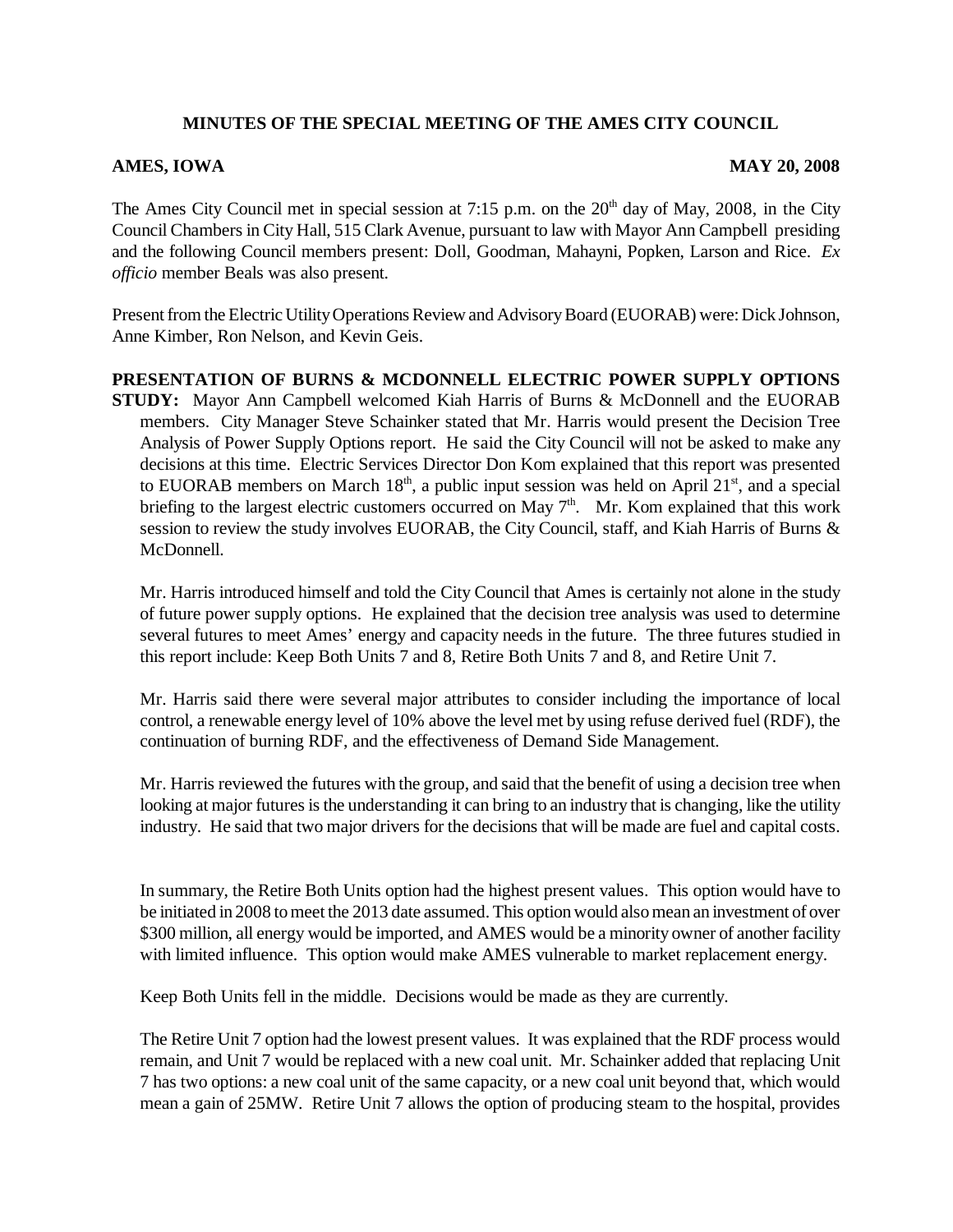## **MINUTES OF THE SPECIAL MEETING OF THE AMES CITY COUNCIL**

## **AMES, IOWA** MAY 20, 2008

The Ames City Council met in special session at 7:15 p.m. on the  $20<sup>th</sup>$  day of May, 2008, in the City Council Chambers in City Hall, 515 Clark Avenue, pursuant to law with Mayor Ann Campbell presiding and the following Council members present: Doll, Goodman, Mahayni, Popken, Larson and Rice. *Ex officio* member Beals was also present.

Present from the Electric Utility Operations Review and Advisory Board (EUORAB) were: Dick Johnson, Anne Kimber, Ron Nelson, and Kevin Geis.

**PRESENTATION OF BURNS & MCDONNELL ELECTRIC POWER SUPPLY OPTIONS STUDY:** Mayor Ann Campbell welcomed Kiah Harris of Burns & McDonnell and the EUORAB members. City Manager Steve Schainker stated that Mr. Harris would present the Decision Tree Analysis of Power Supply Options report. He said the City Council will not be asked to make any decisions at this time. Electric Services Director Don Kom explained that this report was presented to EUORAB members on March  $18<sup>th</sup>$ , a public input session was held on April  $21<sup>st</sup>$ , and a special briefing to the largest electric customers occurred on May  $7<sup>th</sup>$ . Mr. Kom explained that this work session to review the study involves EUORAB, the City Council, staff, and Kiah Harris of Burns & McDonnell.

Mr. Harris introduced himself and told the City Council that Ames is certainly not alone in the study of future power supply options. He explained that the decision tree analysis was used to determine several futures to meet Ames' energy and capacity needs in the future.The three futures studied in this report include: Keep Both Units 7 and 8, Retire Both Units 7 and 8, and Retire Unit 7.

Mr. Harris said there were several major attributes to consider including the importance of local control, a renewable energy level of 10% above the level met by using refuse derived fuel (RDF), the continuation of burning RDF, and the effectiveness of Demand Side Management.

Mr. Harris reviewed the futures with the group, and said that the benefit of using a decision tree when looking at major futures is the understanding it can bring to an industry that is changing, like the utility industry. He said that two major drivers for the decisions that will be made are fuel and capital costs.

In summary, the Retire Both Units option had the highest present values. This option would have to be initiated in 2008 to meet the 2013 date assumed. This option would also mean an investment of over \$300 million, all energy would be imported, and AMES would be a minority owner of another facility with limited influence. This option would make AMES vulnerable to market replacement energy.

Keep Both Units fell in the middle. Decisions would be made as they are currently.

The Retire Unit 7 option had the lowest present values. It was explained that the RDF process would remain, and Unit 7 would be replaced with a new coal unit. Mr. Schainker added that replacing Unit 7 has two options: a new coal unit of the same capacity, or a new coal unit beyond that, which would mean a gain of 25MW. Retire Unit 7 allows the option of producing steam to the hospital, provides